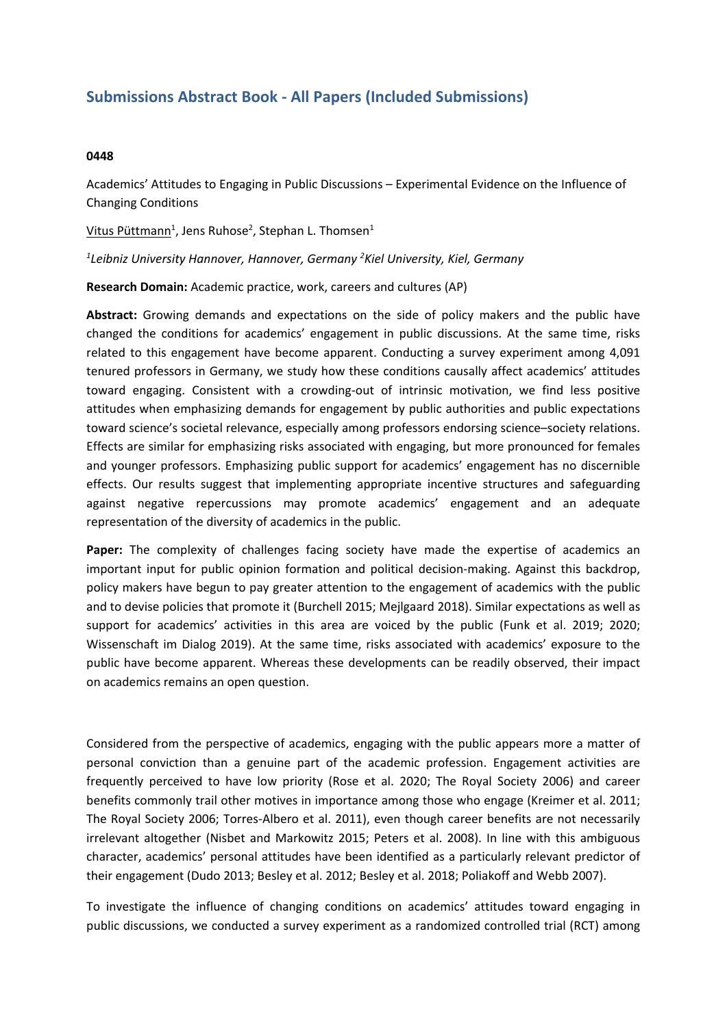## **Submissions Abstract Book - All Papers (Included Submissions)**

## **0448**

Academics' Attitudes to Engaging in Public Discussions – Experimental Evidence on the Influence of Changing Conditions

Vitus Püttmann<sup>1</sup>, Jens Ruhose<sup>2</sup>, Stephan L. Thomsen<sup>1</sup>

*1 Leibniz University Hannover, Hannover, Germany 2 Kiel University, Kiel, Germany*

**Research Domain:** Academic practice, work, careers and cultures (AP)

**Abstract:** Growing demands and expectations on the side of policy makers and the public have changed the conditions for academics' engagement in public discussions. At the same time, risks related to this engagement have become apparent. Conducting <sup>a</sup> survey experiment among 4,091 tenured professors in Germany, we study how these conditions causally affect academics' attitudes toward engaging. Consistent with <sup>a</sup> crowding-out of intrinsic motivation, we find less positive attitudes when emphasizing demands for engagement by public authorities and public expectations toward science's societal relevance, especially among professors endorsing science–society relations. Effects are similar for emphasizing risks associated with engaging, but more pronounced for females and younger professors. Emphasizing public support for academics' engagement has no discernible effects. Our results suggest that implementing appropriate incentive structures and safeguarding against negative repercussions may promote academics' engagement and an adequate representation of the diversity of academics in the public.

**Paper:** The complexity of challenges facing society have made the expertise of academics an important input for public opinion formation and political decision-making. Against this backdrop, policy makers have begun to pay greater attention to the engagement of academics with the public and to devise policies that promote it (Burchell 2015; Mejlgaard 2018). Similar expectations as well as support for academics' activities in this area are voiced by the public (Funk et al. 2019; 2020; Wissenschaft im Dialog 2019). At the same time, risks associated with academics' exposure to the public have become apparent. Whereas these developments can be readily observed, their impact on academics remains an open question.

Considered from the perspective of academics, engaging with the public appears more <sup>a</sup> matter of personal conviction than <sup>a</sup> genuine part of the academic profession. Engagement activities are frequently perceived to have low priority (Rose et al. 2020; The Royal Society 2006) and career benefits commonly trail other motives in importance among those who engage (Kreimer et al. 2011; The Royal Society 2006; Torres-Albero et al. 2011), even though career benefits are not necessarily irrelevant altogether (Nisbet and Markowitz 2015; Peters et al. 2008). In line with this ambiguous character, academics' personal attitudes have been identified as <sup>a</sup> particularly relevant predictor of their engagement (Dudo 2013; Besley et al. 2012; Besley et al. 2018; Poliakoff and Webb 2007).

To investigate the influence of changing conditions on academics' attitudes toward engaging in public discussions, we conducted <sup>a</sup> survey experiment as <sup>a</sup> randomized controlled trial (RCT) among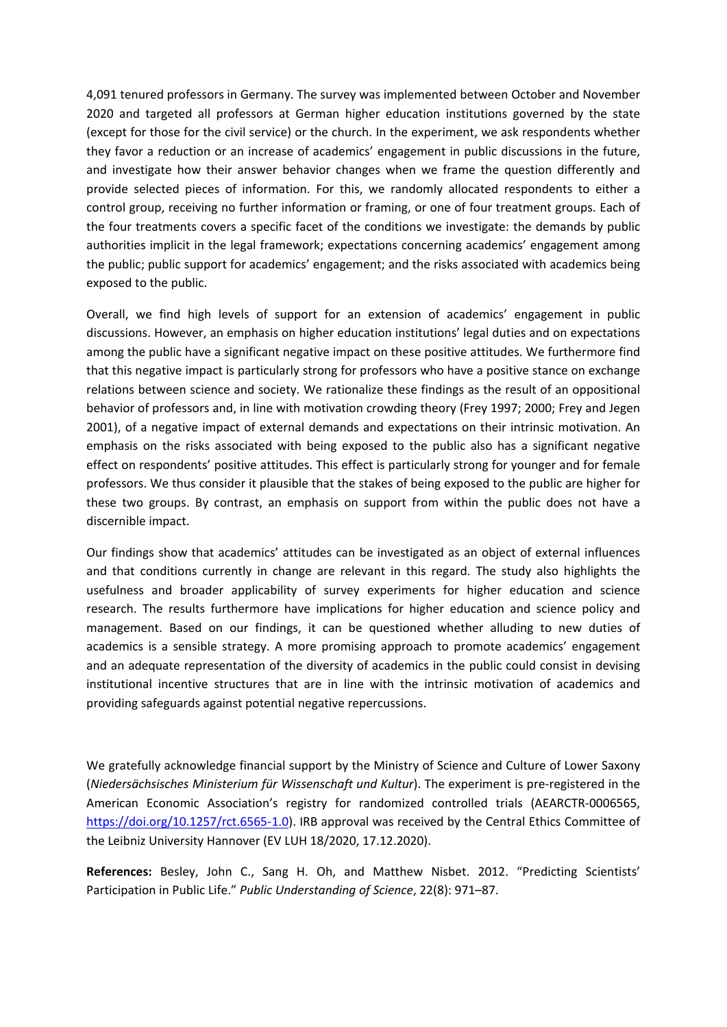4,091 tenured professors in Germany. The survey was implemented between October and November 2020 and targeted all professors at German higher education institutions governed by the state (except for those for the civil service) or the church. In the experiment, we ask respondents whether they favor <sup>a</sup> reduction or an increase of academics' engagement in public discussions in the future, and investigate how their answer behavior changes when we frame the question differently and provide selected pieces of information. For this, we randomly allocated respondents to either <sup>a</sup> control group, receiving no further information or framing, or one of four treatment groups. Each of the four treatments covers <sup>a</sup> specific facet of the conditions we investigate: the demands by public authorities implicit in the legal framework; expectations concerning academics' engagement among the public; public support for academics' engagement; and the risks associated with academics being exposed to the public.

Overall, we find high levels of support for an extension of academics' engagement in public discussions. However, an emphasis on higher education institutions' legal duties and on expectations among the public have <sup>a</sup> significant negative impact on these positive attitudes. We furthermore find that this negative impact is particularly strong for professors who have <sup>a</sup> positive stance on exchange relations between science and society. We rationalize these findings as the result of an oppositional behavior of professors and, in line with motivation crowding theory (Frey 1997; 2000; Frey and Jegen 2001), of <sup>a</sup> negative impact of external demands and expectations on their intrinsic motivation. An emphasis on the risks associated with being exposed to the public also has <sup>a</sup> significant negative effect on respondents' positive attitudes. This effect is particularly strong for younger and for female professors. We thus consider it plausible that the stakes of being exposed to the public are higher for these two groups. By contrast, an emphasis on support from within the public does not have <sup>a</sup> discernible impact.

Our findings show that academics' attitudes can be investigated as an object of external influences and that conditions currently in change are relevant in this regard. The study also highlights the usefulness and broader applicability of survey experiments for higher education and science research. The results furthermore have implications for higher education and science policy and management. Based on our findings, it can be questioned whether alluding to new duties of academics is <sup>a</sup> sensible strategy. A more promising approach to promote academics' engagement and an adequate representation of the diversity of academics in the public could consist in devising institutional incentive structures that are in line with the intrinsic motivation of academics and providing safeguards against potential negative repercussions.

We gratefully acknowledge financial support by the Ministry of Science and Culture of Lower Saxony (*Niedersächsisches Ministerium für Wissenschaft und Kultur*). The experiment is pre-registered in the American Economic Association's registry for randomized controlled trials (AEARCTR-0006565, <https://doi.org/10.1257/rct.6565-1.0>). IRB approval was received by the Central Ethics Committee of the Leibniz University Hannover (EV LUH 18/2020, 17.12.2020).

**References:** Besley, John C., Sang H. Oh, and Matthew Nisbet. 2012. "Predicting Scientists' Participation in Public Life." *Public Understanding of Science*, 22(8): 971–87.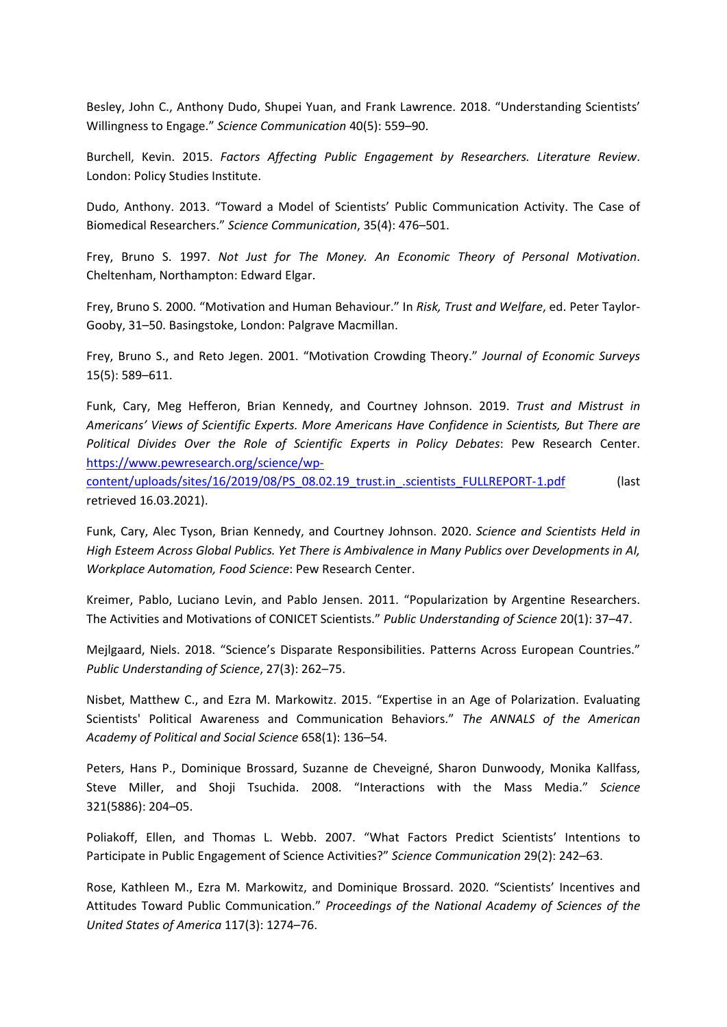Besley, John C., Anthony Dudo, Shupei Yuan, and Frank Lawrence. 2018. "Understanding Scientists' Willingness to Engage." *Science Communication* 40(5): 559–90.

Burchell, Kevin. 2015. *Factors Affecting Public Engagement by Researchers. Literature Review*. London: Policy Studies Institute.

Dudo, Anthony. 2013. "Toward <sup>a</sup> Model of Scientists' Public Communication Activity. The Case of Biomedical Researchers." *Science Communication*, 35(4): 476–501.

Frey, Bruno S. 1997. *Not Just for The Money. An Economic Theory of Personal Motivation*. Cheltenham, Northampton: Edward Elgar.

Frey, Bruno S. 2000. "Motivation and Human Behaviour." In *Risk, Trust and Welfare*, ed. Peter Taylor-Gooby, 31–50. Basingstoke, London: Palgrave Macmillan.

Frey, Bruno S., and Reto Jegen. 2001. "Motivation Crowding Theory." *Journal of Economic Surveys* 15(5): 589–611.

Funk, Cary, Meg Hefferon, Brian Kennedy, and Courtney Johnson. 2019. *Trust and Mistrust in Americans' Views of Scientific Experts. More Americans Have Confidence in Scientists, But There are Political Divides Over the Role of Scientific Experts in Policy Debates*: Pew Research Center. [https://www.pewresearch.org/science/wp-](https://www.pewresearch.org/science/wp-content/uploads/sites/16/2019/08/PS_08.02.19_trust.in_.scientists_FULLREPORT-1.pdf)

[content/uploads/sites/16/2019/08/PS\\_08.02.19\\_trust.in\\_.scientists\\_FULLREPORT-1.pdf](https://www.pewresearch.org/science/wp-content/uploads/sites/16/2019/08/PS_08.02.19_trust.in_.scientists_FULLREPORT-1.pdf) (last retrieved 16.03.2021).

Funk, Cary, Alec Tyson, Brian Kennedy, and Courtney Johnson. 2020. *Science and Scientists Held in High Esteem Across Global Publics. Yet There is Ambivalence in Many Publics over Developments in AI, Workplace Automation, Food Science*: Pew Research Center.

Kreimer, Pablo, Luciano Levin, and Pablo Jensen. 2011. "Popularization by Argentine Researchers. The Activities and Motivations of CONICET Scientists." *Public Understanding of Science* 20(1): 37–47.

Mejlgaard, Niels. 2018. "Science's Disparate Responsibilities. Patterns Across European Countries." *Public Understanding of Science*, 27(3): 262–75.

Nisbet, Matthew C., and Ezra M. Markowitz. 2015. "Expertise in an Age of Polarization. Evaluating Scientists' Political Awareness and Communication Behaviors." *The ANNALS of the American Academy of Political and Social Science* 658(1): 136–54.

Peters, Hans P., Dominique Brossard, Suzanne de Cheveigné, Sharon Dunwoody, Monika Kallfass, Steve Miller, and Shoji Tsuchida. 2008. "Interactions with the Mass Media." *Science* 321(5886): 204–05.

Poliakoff, Ellen, and Thomas L. Webb. 2007. "What Factors Predict Scientists' Intentions to Participate in Public Engagement of Science Activities?" *Science Communication* 29(2): 242–63.

Rose, Kathleen M., Ezra M. Markowitz, and Dominique Brossard. 2020. "Scientists' Incentives and Attitudes Toward Public Communication." *Proceedings of the National Academy of Sciences of the United States of America* 117(3): 1274–76.